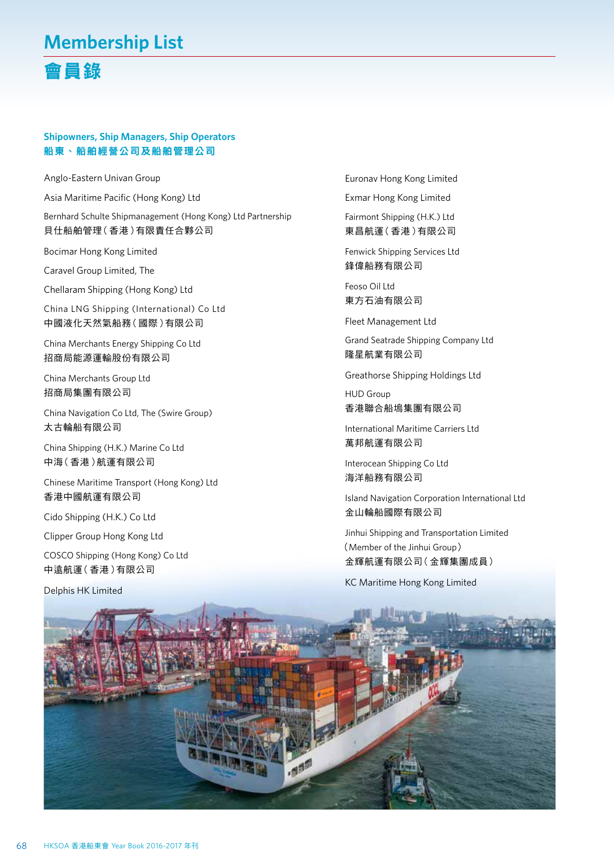# 會員錄

### **Shipowners, Ship Managers, Ship Operators**  船東、船舶經營公司及船舶管理公司

Anglo-Eastern Univan Group

Asia Maritime Pacific (Hong Kong) Ltd

Bernhard Schulte Shipmanagement (Hong Kong) Ltd Partnership 貝仕船舶管理(香港)有限責任合夥公司

Bocimar Hong Kong Limited

Caravel Group Limited, The

Chellaram Shipping (Hong Kong) Ltd

China LNG Shipping (International) Co Ltd 中國液化天然氣船務(國際)有限公司

China Merchants Energy Shipping Co Ltd 招商局能源運輸股份有限公司

China Merchants Group Ltd 招商局集團有限公司

China Navigation Co Ltd, The (Swire Group) 太古輪船有限公司

China Shipping (H.K.) Marine Co Ltd 中海(香港)航運有限公司

Chinese Maritime Transport (Hong Kong) Ltd 香港中國航運有限公司

Cido Shipping (H.K.) Co Ltd

Clipper Group Hong Kong Ltd

COSCO Shipping (Hong Kong) Co Ltd 中遠航運(香港)有限公司

Delphis HK Limited

Euronav Hong Kong Limited Exmar Hong Kong Limited

Fairmont Shipping (H.K.) Ltd 東昌航運(香港)有限公司

Fenwick Shipping Services Ltd 鋒偉船務有限公司

Feoso Oil Ltd 東方石油有限公司

Fleet Management Ltd

Grand Seatrade Shipping Company Ltd 隆星航業有限公司

Greathorse Shipping Holdings Ltd

HUD Group 香港聯合船塢集團有限公司

International Maritime Carriers Ltd 萬邦航運有限公司

Interocean Shipping Co Ltd 海洋船務有限公司

Island Navigation Corporation International Ltd 金山輪船國際有限公司

Jinhui Shipping and Transportation Limited (Member of the Jinhui Group) 金輝航運有限公司(金輝集團成員)

KC Maritime Hong Kong Limited

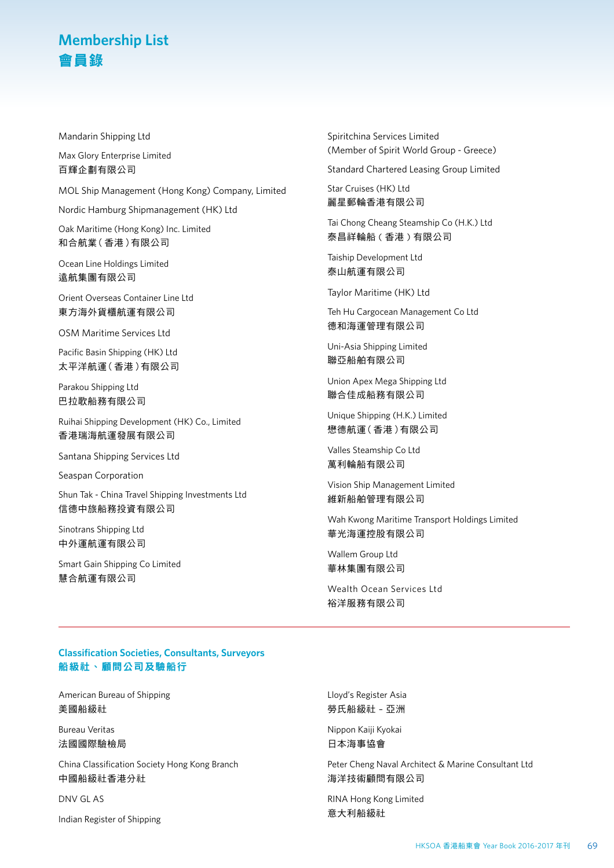Mandarin Shipping Ltd

Max Glory Enterprise Limited 百輝企劃有限公司

MOL Ship Management (Hong Kong) Company, Limited

Nordic Hamburg Shipmanagement (HK) Ltd

Oak Maritime (Hong Kong) Inc. Limited 和合航業(香港)有限公司

Ocean Line Holdings Limited 遠航集團有限公司

Orient Overseas Container Line Ltd 東方海外貨櫃航運有限公司

OSM Maritime Services Ltd

Pacific Basin Shipping (HK) Ltd 太平洋航運(香港)有限公司

Parakou Shipping Ltd 巴拉歌船務有限公司

Ruihai Shipping Development (HK) Co., Limited 香港瑞海航運發展有限公司

Santana Shipping Services Ltd

Seaspan Corporation

Shun Tak - China Travel Shipping Investments Ltd 信德中旅船務投資有限公司

Sinotrans Shipping Ltd 中外運航運有限公司

Smart Gain Shipping Co Limited 慧合航運有限公司

Spiritchina Services Limited (Member of Spirit World Group - Greece)

Standard Chartered Leasing Group Limited

Star Cruises (HK) Ltd 麗星郵輪香港有限公司

Tai Chong Cheang Steamship Co (H.K.) Ltd 泰昌祥輪船 ( 香港 ) 有限公司

Taiship Development Ltd 泰山航運有限公司

Taylor Maritime (HK) Ltd

Teh Hu Cargocean Management Co Ltd 德和海運管理有限公司

Uni-Asia Shipping Limited 聯亞船舶有限公司

Union Apex Mega Shipping Ltd 聯合佳成船務有限公司

Unique Shipping (H.K.) Limited 懋德航運(香港)有限公司

Valles Steamship Co Ltd 萬利輪船有限公司

Vision Ship Management Limited 維新船舶管理有限公司

Wah Kwong Maritime Transport Holdings Limited 華光海運控股有限公司

Wallem Group Ltd 華林集團有限公司

Wealth Ocean Services Ltd 裕洋服務有限公司

### **Classification Societies, Consultants, Surveyors** 船級社、顧問公司及驗船行

American Bureau of Shipping 美國船級社

Bureau Veritas 法國國際驗檢局

China Classification Society Hong Kong Branch 中國船級社香港分社

DNV GL AS

Indian Register of Shipping

Lloyd's Register Asia 勞氏船級社 – 亞洲

Nippon Kaiji Kyokai 日本海事協會

Peter Cheng Naval Architect & Marine Consultant Ltd 海洋技術顧問有限公司

RINA Hong Kong Limited 意大利船級社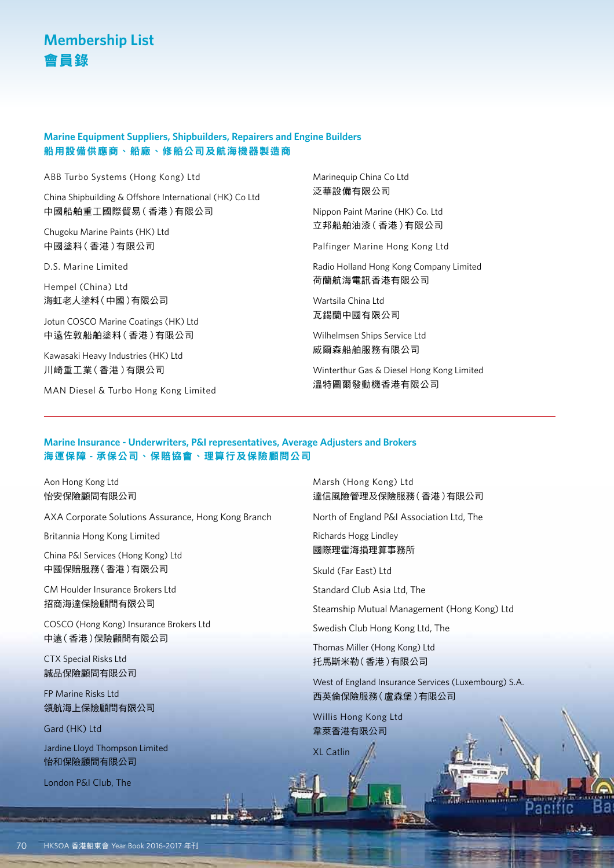### **Marine Equipment Suppliers, Shipbuilders, Repairers and Engine Builders**  船用設備供應商、船廠、修船公司及航海機器製造商

ABB Turbo Systems (Hong Kong) Ltd

China Shipbuilding & Offshore International (HK) Co Ltd 中國船舶重工國際貿易(香港)有限公司

Chugoku Marine Paints (HK) Ltd 中國塗料(香港)有限公司

D.S. Marine Limited

Hempel (China) Ltd 海虹老人塗料(中國)有限公司

Jotun COSCO Marine Coatings (HK) Ltd 中遠佐敦船舶塗料(香港)有限公司

Kawasaki Heavy Industries (HK) Ltd 川崎重工業(香港)有限公司

MAN Diesel & Turbo Hong Kong Limited

Marinequip China Co Ltd 泛華設備有限公司

Nippon Paint Marine (HK) Co. Ltd 立邦船舶油漆(香港)有限公司

Palfinger Marine Hong Kong Ltd

Radio Holland Hong Kong Company Limited 荷蘭航海電訊香港有限公司

Wartsila China Ltd 瓦錫蘭中國有限公司

Wilhelmsen Ships Service Ltd 威爾森船舶服務有限公司

Winterthur Gas & Diesel Hong Kong Limited 溫特圖爾發動機香港有限公司

#### **Marine Insurance - Underwriters, P&I representatives, Average Adjusters and Brokers**  海運保障 **-** 承保公司、保賠協會、理算行及保險顧問公司

Aon Hong Kong Ltd 怡安保險顧問有限公司

AXA Corporate Solutions Assurance, Hong Kong Branch

Britannia Hong Kong Limited

China P&I Services (Hong Kong) Ltd 中國保賠服務(香港)有限公司

CM Houlder Insurance Brokers Ltd 招商海達保險顧問有限公司

COSCO (Hong Kong) Insurance Brokers Ltd 中遠(香港)保險顧問有限公司

CTX Special Risks Ltd 誠品保險顧問有限公司

FP Marine Risks Ltd 領航海上保險顧問有限公司

Gard (HK) Ltd

Jardine Lloyd Thompson Limited 怡和保險顧問有限公司

London P&I Club, The

Marsh (Hong Kong) Ltd 達信風險管理及保險服務(香港)有限公司

North of England P&I Association Ltd, The

Richards Hogg Lindley 國際理霍海損理算事務所

Skuld (Far East) Ltd

Standard Club Asia Ltd, The

Steamship Mutual Management (Hong Kong) Ltd

Swedish Club Hong Kong Ltd, The

Thomas Miller (Hong Kong) Ltd 托馬斯米勒(香港)有限公司

West of England Insurance Services (Luxembourg) S.A. 西英倫保險服務(盧森堡)有限公司

ac

Willis Hong Kong Ltd 韋萊香港有限公司

XL Catlin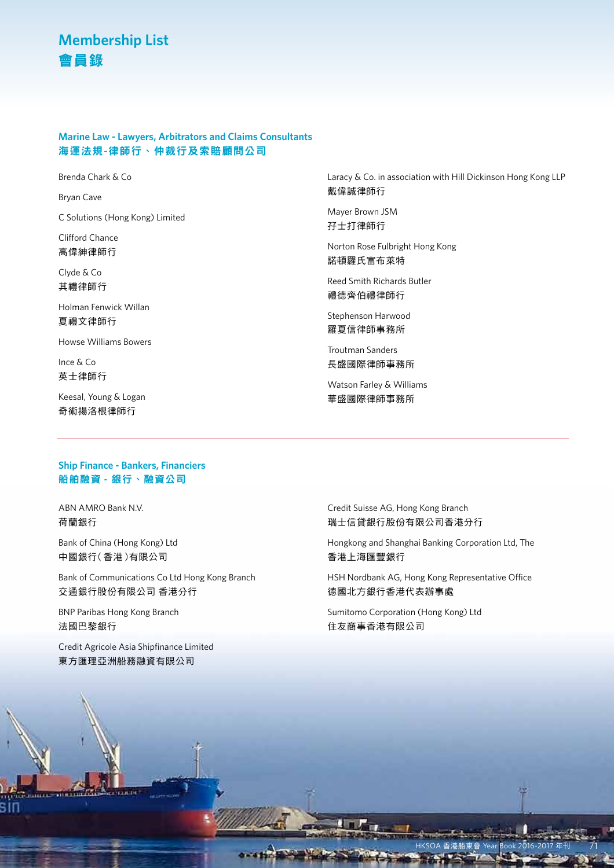### **Marine Law - Lawyers, Arbitrators and Claims Consultants** 海運法規**-**律師行、仲裁行及索賠顧問公司

Brenda Chark & Co

Bryan Cave

C Solutions (Hong Kong) Limited

Clifford Chance 高偉紳律師行

Clyde & Co 其禮律師行

Holman Fenwick Willan 夏禮文律師行

Howse Williams Bowers

Ince & Co 英士律師行

Keesal, Young & Logan 奇術揚洛根律師行

Laracy & Co. in association with Hill Dickinson Hong Kong LLP 戴偉誠律師行

Mayer Brown JSM 孖士打律師行

Norton Rose Fulbright Hong Kong 諾頓羅氏富布萊特

Reed Smith Richards Butler 禮德齊伯禮律師行

Stephenson Harwood 羅夏信律師事務所

Troutman Sanders 長盛國際律師事務所

Watson Farley & Williams 華盛國際律師事務所

#### **Ship Finance - Bankers, Financiers**  船舶融資 **-** 銀行、融資公司

ABN AMRO Bank N.V. 荷蘭銀行

Bank of China (Hong Kong) Ltd 中國銀行(香港)有限公司

Bank of Communications Co Ltd Hong Kong Branch 交通銀行股份有限公司 香港分行

BNP Paribas Hong Kong Branch 法國巴黎銀行

Credit Agricole Asia Shipfinance Limited 東方匯理亞洲船務融資有限公司

Credit Suisse AG, Hong Kong Branch 瑞士信貸銀行股份有限公司香港分行

Hongkong and Shanghai Banking Corporation Ltd, The 香港上海匯豐銀行

HSH Nordbank AG, Hong Kong Representative Office 德國北方銀行香港代表辦事處

Sumitomo Corporation (Hong Kong) Ltd 住友商事香港有限公司

HKSOA 香港船東會 Year Book 2016-2017 年刊 71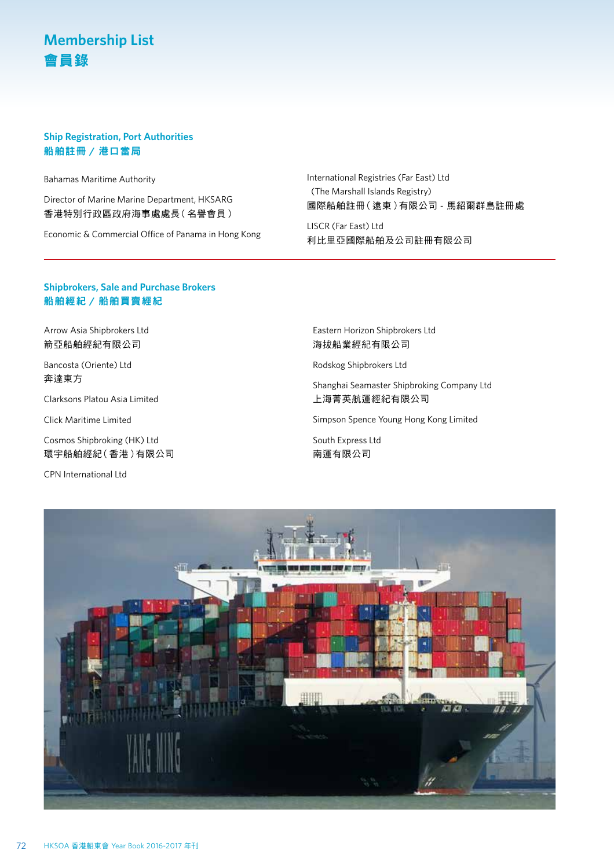#### **Ship Registration, Port Authorities** 船舶註冊 **/** 港口當局

Bahamas Maritime Authority

Director of Marine Marine Department, HKSARG 香港特別行政區政府海事處處長(名譽會員)

Economic & Commercial Office of Panama in Hong Kong

International Registries (Far East) Ltd (The Marshall Islands Registry) 國際船舶註冊(遠東)有限公司 - 馬紹爾群島註冊處

LISCR (Far East) Ltd 利比里亞國際船舶及公司註冊有限公司

### **Shipbrokers, Sale and Purchase Brokers**  船舶經紀 **/** 船舶買賣經紀

Arrow Asia Shipbrokers Ltd 箭亞船舶經紀有限公司

Bancosta (Oriente) Ltd 奔達東方

Clarksons Platou Asia Limited

Click Maritime Limited

Cosmos Shipbroking (HK) Ltd 環宇船舶經紀(香港)有限公司

CPN International Ltd

Eastern Horizon Shipbrokers Ltd 海拔船業經紀有限公司

Rodskog Shipbrokers Ltd

Shanghai Seamaster Shipbroking Company Ltd 上海菁英航運經紀有限公司

Simpson Spence Young Hong Kong Limited

South Express Ltd 南運有限公司